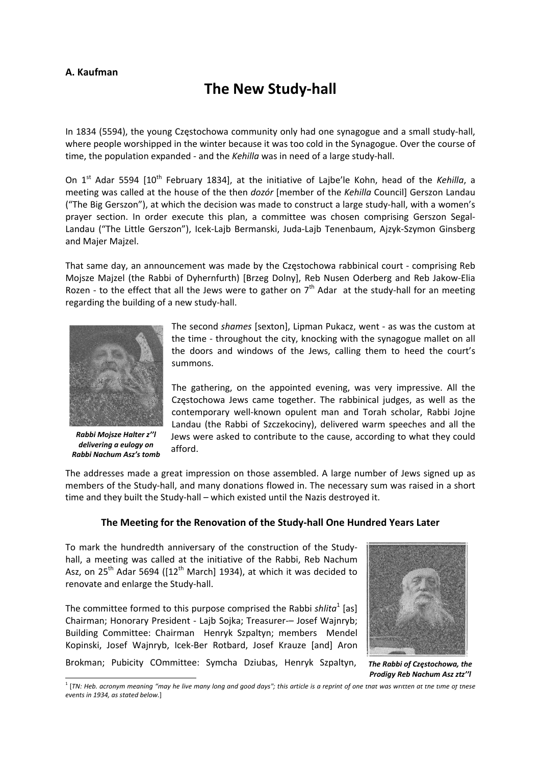## **A. Kaufman**

## **The New Study‐hall**

In 1834 (5594), the young Częstochowa community only had one synagogue and a small study‐hall, where people worshipped in the winter because it was too cold in the Synagogue. Over the course of time, the population expanded ‐ and the *Kehilla* was in need of a large study‐hall.

On 1<sup>st</sup> Adar 5594 [10<sup>th</sup> February 1834], at the initiative of Lajbe'le Kohn, head of the *Kehilla*, a meeting was called at the house of the then *dozór* [member of the *Kehilla* Council] Gerszon Landau ("The Big Gerszon"), at which the decision was made to construct a large study‐hall, with a women's prayer section. In order execute this plan, a committee was chosen comprising Gerszon Segal-Landau ("The Little Gerszon"), Icek‐Lajb Bermanski, Juda‐Lajb Tenenbaum, Ajzyk‐Szymon Ginsberg and Majer Majzel.

That same day, an announcement was made by the Częstochowa rabbinical court ‐ comprising Reb Mojsze Majzel (the Rabbi of Dyhernfurth) [Brzeg Dolny], Reb Nusen Oderberg and Reb Jakow‐Elia Rozen - to the effect that all the Jews were to gather on  $7<sup>th</sup>$  Adar at the study-hall for an meeting regarding the building of a new study‐hall.



*Rabbi Mojsze Halter z''l delivering a eulogy on Rabbi Nachum Asz's tomb*

The second *shames* [sexton], Lipman Pukacz, went ‐ as was the custom at the time ‐ throughout the city, knocking with the synagogue mallet on all the doors and windows of the Jews, calling them to heed the court's summons.

The gathering, on the appointed evening, was very impressive. All the Częstochowa Jews came together. The rabbinical judges, as well as the contemporary well-known opulent man and Torah scholar, Rabbi Jojne Landau (the Rabbi of Szczekociny), delivered warm speeches and all the Jews were asked to contribute to the cause, according to what they could afford.

The addresses made a great impression on those assembled. A large number of Jews signed up as members of the Study-hall, and many donations flowed in. The necessary sum was raised in a short time and they built the Study‐hall – which existed until the Nazis destroyed it.

## **The Meeting for the Renovation of the Study‐hall One Hundred Years Later**

To mark the hundredth anniversary of the construction of the Study‐ hall, a meeting was called at the initiative of the Rabbi, Reb Nachum Asz, on 25<sup>th</sup> Adar 5694 ( $[12<sup>th</sup>$  March] 1934), at which it was decided to renovate and enlarge the Study‐hall.

The committee formed to this purpose comprised the Rabbi *shlita*<sup>1</sup> [as] Chairman; Honorary President - Lajb Sojka; Treasurer-- Josef Wajnryb; Building Committee: Chairman Henryk Szpaltyn; members Mendel Kopinski, Josef Wajnryb, Icek‐Ber Rotbard, Josef Krauze [and] Aron

Brokman; Pubicity COmmittee: Symcha Dziubas, Henryk Szpaltyn,



*The Rabbi of Częstochowa, the Prodigy Reb Nachum Asz ztz''l*

 $^1$  [TN: Heb. acronym meaning "may he live many long and good days"; this article is a reprint of one tnat was written at tne time of tnese *events in 1934, as stated below.*]